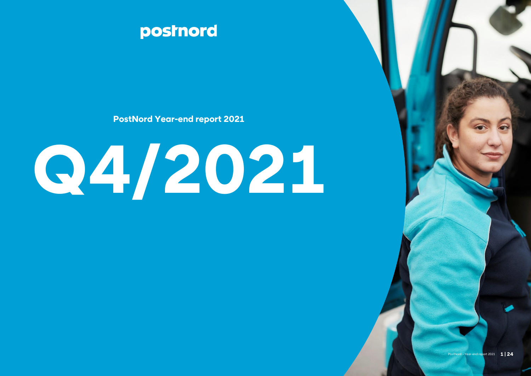

**PostNord Year-end report 2021**

# **Q4/2021**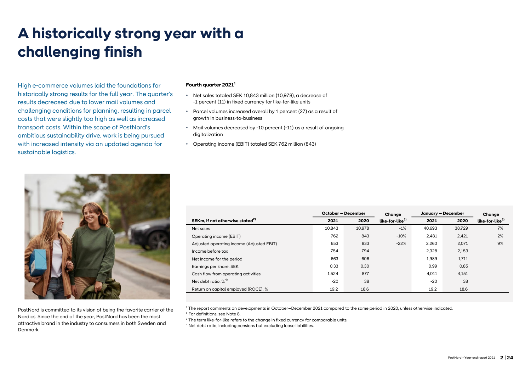# **A historically strong year with a challenging finish**

High e-commerce volumes laid the foundations for historically strong results for the full year. The quarter's results decreased due to lower mail volumes and challenging conditions for planning, resulting in parcel costs that were slightly too high as well as increased transport costs. Within the scope of PostNord's ambitious sustainability drive, work is being pursued with increased intensity via an updated agenda for sustainable logistics.

#### **Fourth quarter 2021<sup>1</sup>**

- Net sales totaled SEK 10,843 million (10,978), a decrease of -1 percent (11) in fixed currency for like-for-like units
- Parcel volumes increased overall by 1 percent (27) as a result of growth in business-to-business
- Mail volumes decreased by -10 percent (-11) as a result of ongoing digitalization
- Operating income (EBIT) totaled SEK 762 million (843)



|                                             |        | <b>October - December</b> | Chanae                      | January - December |        | Chanae                      |
|---------------------------------------------|--------|---------------------------|-----------------------------|--------------------|--------|-----------------------------|
| SEKm, if not otherwise stated <sup>2)</sup> | 2021   | 2020                      | like-for-like <sup>3)</sup> | 2021               | 2020   | like-for-like <sup>3)</sup> |
| Net sales                                   | 10,843 | 10,978                    | $-1%$                       | 40,693             | 38,729 | 7%                          |
| Operating income (EBIT)                     | 762    | 843                       | $-10%$                      | 2,481              | 2,421  | 2%                          |
| Adjusted operating income (Adjusted EBIT)   | 653    | 833                       | $-22%$                      | 2,260              | 2,071  | 9%                          |
| Income before tax                           | 754    | 794                       |                             | 2,328              | 2,153  |                             |
| Net income for the period                   | 663    | 606                       |                             | 1.989              | 1,711  |                             |
| Earnings per share, SEK                     | 0.33   | 0.30                      |                             | 0.99               | 0.85   |                             |
| Cash flow from operating activities         | 1,524  | 877                       |                             | 4,011              | 4,151  |                             |
| Net debt ratio. $\%^{4)}$                   | $-20$  | 38                        |                             | $-20$              | 38     |                             |
| Return on capital employed (ROCE), %        | 19.2   | 18.6                      |                             | 19.2               | 18.6   |                             |

PostNord is committed to its vision of being the favorite carrier of the Nordics. Since the end of the year, PostNord has been the most attractive brand in the industry to consumers in both Sweden and Denmark.

<sup>1</sup> The report comments on developments in October–December 2021 compared to the same period in 2020, unless otherwise indicated. <sup>2</sup> For definitions, see Note 8.

<sup>3</sup> The term like-for-like refers to the change in fixed currency for comparable units.

<sup>4</sup> Net debt ratio, including pensions but excluding lease liabilities.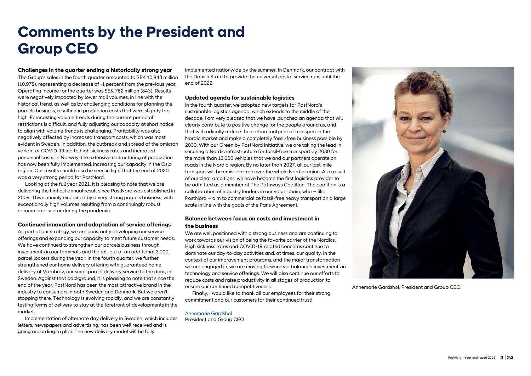## **Comments by the President and Group CEO**

#### **Challenges in the quarter ending a historically strong year**

The Group's sales in the fourth quarter amounted to SEK 10,843 million (10,978), representing a decrease of -1 percent from the previous year. Operating income for the quarter was SEK 762 million (843). Results were negatively impacted by lower mail volumes, in line with the historical trend, as well as by challenging conditions for planning the parcels business, resulting in production costs that were slightly too high. Forecasting volume trends during the current period of restrictions is difficult, and fully adjusting our capacity at short notice to align with volume trends is challenging. Profitability was also negatively affected by increased transport costs, which was most evident in Sweden. In addition, the outbreak and spread of the omicron variant of COVID-19 led to high sickness rates and increased personnel costs. In Norway, the extensive restructuring of production has now been fully implemented, increasing our capacity in the Oslo region. Our results should also be seen in light that the end of 2020 was a very strong period for PostNord.

Looking at the full year 2021, it is pleasing to note that we are delivering the highest annual result since PostNord was established in 2009. This is mainly explained by a very strong parcels business, with exceptionally high volumes resulting from a continuingly robust e-commerce sector during the pandemic.

#### **Continued innovation and adaptation of service offerings**

As part of our strategy, we are constantly developing our service offerings and expanding our capacity to meet future customer needs. We have continued to strengthen our parcels business through investments in our terminals and the roll-out of an additional 3,000 parcel lockers during the year. In the fourth quarter, we further strengthened our home delivery offering with guaranteed home delivery of Varubrev, our small parcel delivery service to the door, in Sweden. Against that background, it is pleasing to note that since the end of the year, PostNord has been the most attractive brand in the industry to consumers in both Sweden and Denmark. But we aren't stopping there. Technology is evolving rapidly, and we are constantly testing forms of delivery to stay at the forefront of developments in the market.

Implementation of alternate day delivery in Sweden, which includes letters, newspapers and advertising, has been well received and is going according to plan. The new delivery model will be fully

implemented nationwide by the summer. In Denmark, our contract with the Danish State to provide the universal postal service runs until the end of 2022.

#### **Updated agenda for sustainable logistics**

In the fourth quarter, we adopted new targets for PostNord's sustainable logistics agenda, which extends to the middle of the decade. I am very pleased that we have launched an agenda that will clearly contribute to positive change for the people around us, and that will radically reduce the carbon footprint of transport in the Nordic market and make a completely fossil-free business possible by 2030. With our Green by PostNord initiative, we are taking the lead in securing a Nordic infrastructure for fossil-free transport by 2030 for the more than 13,000 vehicles that we and our partners operate on roads in the Nordic region. By no later than 2027, all our last-mile transport will be emission-free over the whole Nordic region. As a result of our clear ambitions, we have become the first logistics provider to be admitted as a member of The Pathways Coalition. The coalition is a collaboration of industry leaders in our value chain, who – like PostNord – aim to commercialize fossil-free heavy transport on a large scale in line with the goals of the Paris Agreement.

#### **Balance between focus on costs and investment in the business**

We are well positioned with a strong business and are continuing to work towards our vision of being the favorite carrier of the Nordics. High sickness rates and COVID-19 related concerns continue to dominate our day-to-day activities and, at times, our quality. In the context of our improvement programs, and the major transformation we are engaged in, we are moving forward via balanced investments in technology and service offerings. We will also continue our efforts to reduce costs and raise productivity in all stages of production to ensure our continued competitiveness.

Finally, I would like to thank all our employees for their strong commitment and our customers for their continued trust!

#### Annemarie Gardshol President and Group CEO



Annemarie Gardshol, President and Group CEO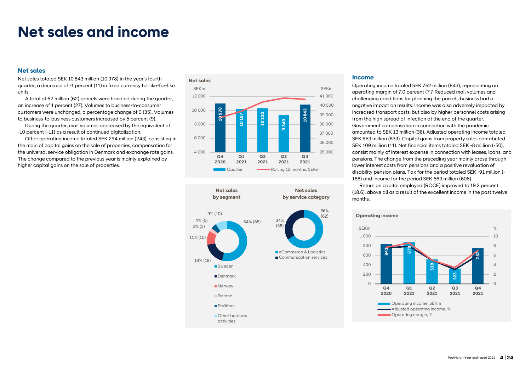## **Net sales and income**

#### **Net sales**

Net sales totaled SEK 10,843 million (10,978) in the year's fourth quarter, a decrease of -1 percent (11) in fixed currency for like-for-like units.

A total of 62 million (62) parcels were handled during the quarter, an increase of 1 percent (27). Volumes to business-to-consumer customers were unchanged, a percentage change of 0 (35). Volumes to business-to-business customers increased by 5 percent (9).

During the quarter, mail volumes decreased by the equivalent of -10 percent (-11) as a result of continued digitalization.

Other operating income totaled SEK 294 million (243), consisting in the main of capital gains on the sale of properties, compensation for the universal service obligation in Denmark and exchange rate gains. The change compared to the previous year is mainly explained by higher capital gains on the sale of properties.

#### **Net sales 10 978 10 187 10 323 9 340 10 843** 35 000 36 000 37 000 38 000 39 000 40 000 41 000 4 000 6 000 8 000 10 000 12 000 **Q4 2020 Q1 2021 Q2 2021 Q3 2021 Q4 2021** SEKm SEKm **Quarter Colling 12 months, SEKm**



#### **Income**

Operating income totaled SEK 762 million (843), representing an operating margin of 7.0 percent (7.7 Reduced mail volumes and challenging conditions for planning the parcels business had a negative impact on results. Income was also adversely impacted by increased transport costs, but also by higher personnel costs arising from the high spread of infection at the end of the quarter. Government compensation in connection with the pandemic amounted to SEK 13 million (38). Adjusted operating income totaled SEK 653 million (833). Capital gains from property sales contributed SEK 109 million (11). Net financial items totaled SEK -8 million (-50), consist mainly of interest expense in connection with leases, loans, and pensions. The change from the preceding year mainly arose through lower interest costs from pensions and a positive revaluation of disability pension plans. Tax for the period totaled SEK -91 million (- 188) and income for the period SEK 663 million (606).

Return on capital employed (ROCE) improved to 19.2 percent (18.6), above all as a result of the excellent income in the past twelve months.

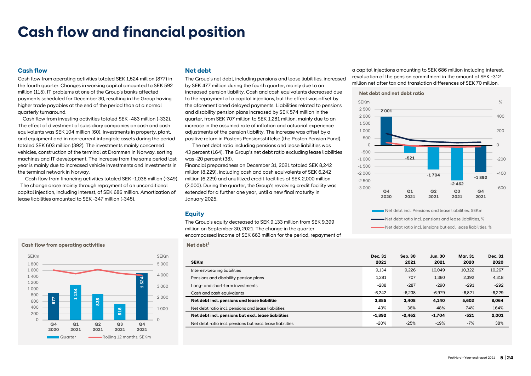## **Cash flow and financial position**

#### **Cash flow**

Cash flow from operating activities totaled SEK 1,524 million (877) in the fourth quarter. Changes in working capital amounted to SEK 592 million (115). IT problems at one of the Group's banks affected payments scheduled for December 30, resulting in the Group having higher trade payables at the end of the period than at a normal quarterly turnaround.

 Cash flow from investing activities totaled SEK -483 million (-332). The effect of divestment of subsidiary companies on cash and cash equivalents was SEK 104 million (60). Investments in property, plant, and equipment and in non-current intangible assets during the period totaled SEK 603 million (392). The investments mainly concerned vehicles, construction of the terminal at Drammen in Norway, sorting machines and IT development. The increase from the same period last year is mainly due to increased vehicle investments and investments in the terminal network in Norway.

Cash flow from financing activities totaled SEK -1,036 million (-349). The change arose mainly through repayment of an unconditional capital injection, including interest, of SEK 686 million. Amortization of lease liabilities amounted to SEK -347 million (-345).

#### **877 1 134 835 518 1 524**  $\sqrt{2}$ 1 000 2 000 3 000 4 000 5 000  $\Omega$ 200 400 600 800 1 000 1 200 1 400 1 600 1 800 **Q4 2020 Q1 2021 Q2 2021 Q3 2021 Q4 2021** SEKm SEKm Quarter Rolling 12 months, SEKm

#### **Net debt**

The Group's net debt, including pensions and lease liabilities, increased by SEK 477 million during the fourth quarter, mainly due to an increased pension liability. Cash and cash equivalents decreased due to the repayment of a capital injections, but the effect was offset by the aforementioned delayed payments. Liabilities related to pensions and disability pension plans increased by SEK 574 million in the quarter, from SEK 707 million to SEK 1,281 million, mainly due to an increase in the assumed rate of inflation and actuarial experience adjustments of the pension liability. The increase was offset by a positive return in Postens Pensionsstiftelse (the Posten Pension Fund).

The net debt ratio including pensions and lease liabilities was 43 percent (164). The Group's net debt ratio excluding lease liabilities was -20 percent (38).

Financial preparedness on December 31, 2021 totaled SEK 8,242 million (8,229), including cash and cash equivalents of SEK 6,242 million (6,229) and unutilized credit facilities of SEK 2,000 million (2,000). During the quarter, the Group's revolving credit facility was extended for a further one year, until a new final maturity in January 2025.

#### **Equity**

The Group's equity decreased to SEK 9,133 million from SEK 9,399 million on September 30, 2021. The change in the quarter encompassed income of SEK 663 million for the period, repayment of

**Cash flow from operating activities Net debt<sup>1</sup>** 

| <b>Dec. 31</b> | Sep. 30  | Jun. 30  | Mar. 31  | <b>Dec. 31</b> |
|----------------|----------|----------|----------|----------------|
| 2021           | 2021     | 2021     | 2020     | 2020           |
| 9.134          | 9,226    | 10.049   | 10.322   | 10,267         |
| 1.281          | 707      | 1.360    | 2.392    | 4,318          |
| $-288$         | $-287$   | $-290$   | $-291$   | $-292$         |
| $-6.242$       | $-6.238$ | $-6.979$ | $-6.821$ | $-6,229$       |
| 3,885          | 3.408    | 4.140    | 5.602    | 8,064          |
| 43%            | 36%      | 48%      | 74%      | 164%           |
| $-1.892$       | $-2.462$ | $-1.704$ | -521     | 2.001          |
| $-20%$         | $-25%$   | $-19%$   | $-7%$    | 38%            |
|                |          |          |          |                |

a capital injections amounting to SEK 686 million including interest, revaluation of the pension commitment in the amount of SEK -312 million net after tax and translation differences of SEK 70 million.

#### **Net debt and net debt ratio**

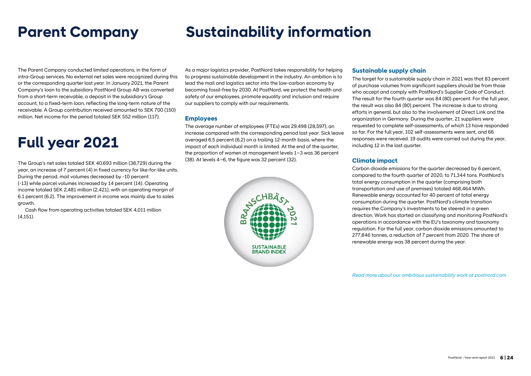# **Parent Company Sustainability information**

The Parent Company conducted limited operations, in the form of intra-Group services. No external net sales were recognized during this or the corresponding quarter last year. In January 2021, the Parent Company's loan to the subsidiary PostNord Group AB was converted from a short-term receivable, a deposit in the subsidiary's Group account, to a fixed-term loan, reflecting the long-term nature of the receivable. A Group contribution received amounted to SEK 700 (150) million. Net income for the period totaled SEK 552 million (117).

# **Full year 2021**

The Group's net sales totaled SEK 40,693 million (38,729) during the year, an increase of 7 percent (4) in fixed currency for like-for-like units. During the period, mail volumes decreased by -10 percent (-13) while parcel volumes increased by 14 percent (14). Operating income totaled SEK 2,481 million (2,421), with an operating margin of 6.1 percent (6.2). The improvement in income was mainly due to sales growth.

Cash flow from operating activities totaled SEK 4,011 million (4,151).

As a major logistics provider, PostNord takes responsibility for helping to progress sustainable development in the industry. An ambition is to lead the mail and logistics sector into the low-carbon economy by becoming fossil-free by 2030. At PostNord, we protect the health and safety of our employees, promote equality and inclusion and require our suppliers to comply with our requirements.

#### **Employees**

The average number of employees (FTEs) was 29,498 (28,597), an increase compared with the corresponding period last year. Sick leave averaged 6.5 percent (6.2) on a trailing 12-month basis, where the impact of each individual month is limited. At the end of the quarter, the proportion of women at management levels 1–3 was 36 percent (38). At levels 4–6, the figure was 32 percent (32).



## **Sustainable supply chain**

The target for a sustainable supply chain in 2021 was that 83 percent of purchase volumes from significant suppliers should be from those who accept and comply with PostNord's Supplier Code of Conduct. The result for the fourth quarter was 84 (80) percent. For the full year, the result was also 84 (80) percent. The increase is due to strong efforts in general, but also to the involvement of Direct Link and the organization in Germany. During the quarter, 21 suppliers were requested to complete self-assessments, of which 13 have responded so far. For the full year, 102 self-assessments were sent, and 66 responses were received. 19 audits were carried out during the year, including 12 in the last quarter.

## **Climate impact**

Carbon dioxide emissions for the quarter decreased by 6 percent, compared to the fourth quarter of 2020, to 71,344 tons. PostNord's total energy consumption in the quarter (comprising both transportation and use of premises) totaled 468,464 MWh. Renewable energy accounted for 40 percent of total energy consumption during the quarter. PostNord's climate transition requires the Company's investments to be steered in a green direction. Work has started on classifying and monitoring PostNord's operations in accordance with the EU's taxonomy and taxonomy regulation. For the full year, carbon dioxide emissions amounted to 277,846 tonnes, a reduction of 7 percent from 2020. The share of renewable energy was 38 percent during the year.

*Read more about our ambitious sustainability work at postnord.com*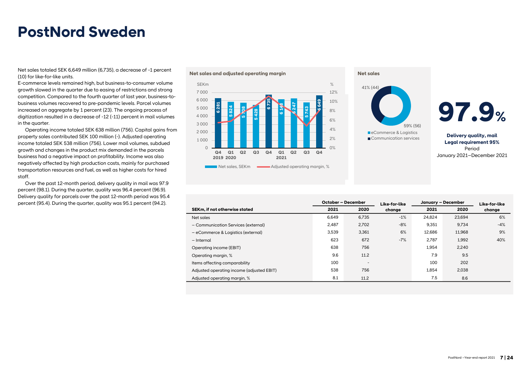## **PostNord Sweden**

Net sales totaled SEK 6,649 million (6,735), a decrease of -1 percent (10) for like-for-like units.

E-commerce levels remained high, but business-to-consumer volume growth slowed in the quarter due to easing of restrictions and strong competition. Compared to the fourth quarter of last year, business-tobusiness volumes recovered to pre-pandemic levels. Parcel volumes increased on aggregate by 1 percent (23). The ongoing process of digitization resulted in a decrease of -12 (-11) percent in mail volumes in the quarter.

Operating income totaled SEK 638 million (756). Capital gains from property sales contributed SEK 100 million (-). Adjusted operating income totaled SEK 538 million (756). Lower mail volumes, subdued growth and changes in the product mix demanded in the parcels business had a negative impact on profitability. Income was also negatively affected by high production costs, mainly for purchased transportation resources and fuel, as well as higher costs for hired staff.

Over the past 12-month period, delivery quality in mail was 97.9 percent (98.1). During the quarter, quality was 96.4 percent (96.9). Delivery quality for parcels over the past 12-month period was 95.4 percent (95.4). During the quarter, quality was 95.1 percent (94.2).









**Delivery quality, mail Legal requirement 95%** Period January 2021–December 2021

|                                           | October - December |                          | Like-for-like | January - December |        |        |
|-------------------------------------------|--------------------|--------------------------|---------------|--------------------|--------|--------|
| SEKm, if not otherwise stated             | 2021               | 2020                     | change        | 2021               | 2020   | change |
| Net sales                                 | 6.649              | 6.735                    | $-1%$         | 24.824             | 23.694 | 6%     |
| - Communication Services (external)       | 2.487              | 2,702                    | $-8%$         | 9,351              | 9.734  | $-4%$  |
| - eCommerce & Logistics (external)        | 3.539              | 3.361                    | 6%            | 12.686             | 11.968 | 9%     |
| - Internal                                | 623                | 672                      | $-7%$         | 2.787              | 1,992  | 40%    |
| Operating income (EBIT)                   | 638                | 756                      |               | 1.954              | 2.240  |        |
| Operating margin, %                       | 9.6                | 11.2                     |               | 7.9                | 9.5    |        |
| Items affecting comparability             | 100                | $\overline{\phantom{m}}$ |               | 100                | 202    |        |
| Adjusted operating income (adjusted EBIT) | 538                | 756                      |               | 1,854              | 2,038  |        |
| Adjusted operating margin, %              | 8.1                | 11.2                     |               | 7.5                | 8.6    |        |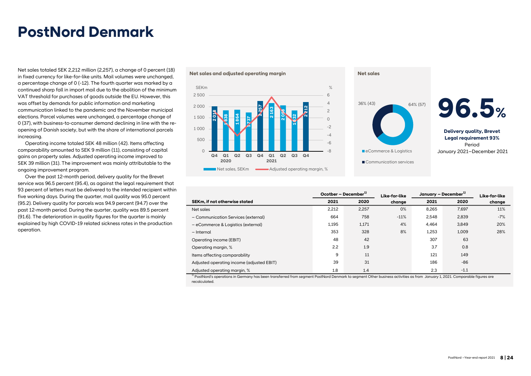## **PostNord Denmark**

Net sales totaled SEK 2,212 million (2,257), a change of 0 percent (18) in fixed currency for like-for-like units. Mail volumes were unchanged, a percentage change of 0 (-12). The fourth quarter was marked by a continued sharp fall in import mail due to the abolition of the minimum VAT threshold for purchases of goods outside the EU. However, this was offset by demands for public information and marketing communication linked to the pandemic and the November municipal elections. Parcel volumes were unchanged, a percentage change of 0 (37), with business-to-consumer demand declining in line with the reopening of Danish society, but with the share of international parcels increasing.

Operating income totaled SEK 48 million (42). Items affecting comparability amounted to SEK 9 million (11), consisting of capital gains on property sales. Adjusted operating income improved to SEK 39 million (31). The improvement was mainly attributable to the ongoing improvement program.

Over the past 12-month period, delivery quality for the Brevet service was 96.5 percent (95.4), as against the legal requirement that 93 percent of letters must be delivered to the intended recipient within five working days. During the quarter, mail quality was 95.0 percent (95.2). Delivery quality for parcels was 94.9 percent (94.7) over the past 12-month period. During the quarter, quality was 89.5 percent (91.6). The deterioration in quality figures for the quarter is mainly explained by high COVID-19 related sickness rates in the production operation.





|                                           | Ocotber - December <sup>1)</sup> |       | Like-for-like | January – December <sup>1)</sup> |        | Like-for-like |
|-------------------------------------------|----------------------------------|-------|---------------|----------------------------------|--------|---------------|
| SEKm, if not otherwise stated             | 2021                             | 2020  | change        | 2021                             | 2020   | change        |
| Net sales                                 | 2,212                            | 2,257 | 0%            | 8,265                            | 7.697  | 11%           |
| - Communication Services (external)       | 664                              | 758   | $-11%$        | 2,548                            | 2,839  | $-7%$         |
| - eCommerce & Logistics (external)        | 1,195                            | 1,171 | 4%            | 4.464                            | 3.849  | 20%           |
| - Internal                                | 353                              | 328   | 8%            | 1,253                            | 1,009  | 28%           |
| Operating income (EBIT)                   | 48                               | 42    |               | 307                              | 63     |               |
| Operating margin, %                       | 2.2                              | 1.9   |               | 3.7                              | 0.8    |               |
| Items affecting comparability             | 9                                | 11    |               | 121                              | 149    |               |
| Adjusted operating income (adjusted EBIT) | 39                               | 31    |               | 186                              | $-86$  |               |
| Adjusted operating margin, %              | 1.8                              | 1.4   |               | 2.3                              | $-1.1$ |               |

 $^{1)}$  PostNord's operations in Germany has been transferred from segment PostNord Denmark to segment Other business activities as from January 1, 2021. Comparable figures are recalculated.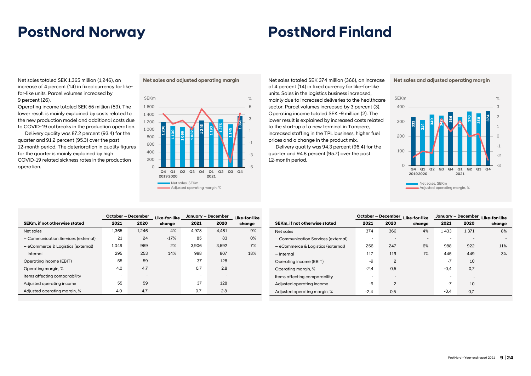## **PostNord Norway PostNord Finland**

Net sales totaled SEK 1,365 million (1,246), an increase of 4 percent (14) in fixed currency for likefor-like units. Parcel volumes increased by 9 percent (26).

Operating income totaled SEK 55 million (59). The lower result is mainly explained by costs related to the new production model and additional costs due to COVID-19 outbreaks in the production operation.

Delivery quality was 87.2 percent (93.4) for the quarter and 91.2 percent (95.3) over the past 12-month period. The deterioration in quality figures for the quarter is mainly explained by high COVID-19 related sickness rates in the production operation.



**Net sales and adjusted operating margin** Net sales totaled SEK 374 million (366), an increase of 4 percent (14) in fixed currency for like-for-like units. Sales in the logistics business increased, mainly due to increased deliveries to the healthcare sector. Parcel volumes increased by 3 percent (3). Operating income totaled SEK -9 million (2). The lower result is explained by increased costs related to the start-up of a new terminal in Tampere, increased staffing in the TPL business, higher fuel prices and a change in the product mix.

> Delivery quality was 94.3 percent (96.4) for the quarter and 94.8 percent (95.7) over the past 12-month period.

**Net sales and adjusted operating margin** 



|                                     | <b>October - December</b> |                          | January - December<br>Like-for-like |       |       | Like-for-like |
|-------------------------------------|---------------------------|--------------------------|-------------------------------------|-------|-------|---------------|
| SEKm, if not otherwise stated       | 2021                      | 2020                     | change                              | 2021  | 2020  | change        |
| Net sales                           | 1.365                     | 1.246                    | 4%                                  | 4.978 | 4.481 | 9%            |
| - Communication Services (external) | 21                        | 24                       | $-17%$                              | 85    | 83    | $0\%$         |
| - eCommerce & Logistics (external)  | 1.049                     | 969                      | 2%                                  | 3.906 | 3.592 | 7%            |
| - Internal                          | 295                       | 253                      | 14%                                 | 988   | 807   | 18%           |
| Operating income (EBIT)             | 55                        | 59                       |                                     | 37    | 128   |               |
| Operating margin, %                 | 4.0                       | 4.7                      |                                     | 0.7   | 2.8   |               |
| Items affecting comparability       | ۰                         | $\overline{\phantom{0}}$ |                                     |       |       |               |
| Adjusted operating income           | 55                        | 59                       |                                     | 37    | 128   |               |
| Adjusted operating margin, %        | 4.0                       | 4.7                      |                                     | 0.7   | 2.8   |               |

|                                     | October - December |                          | Like-for-like            | January - December       | Like-for-like            |        |
|-------------------------------------|--------------------|--------------------------|--------------------------|--------------------------|--------------------------|--------|
| SEKm, if not otherwise stated       | 2021               | 2020                     | change                   | 2021                     | 2020                     | change |
| Net sales                           | 374                | 366                      | 4%                       | 1433                     | 1 3 7 1                  | 8%     |
| - Communication Services (external) |                    | -                        | $\overline{\phantom{a}}$ | $\overline{\phantom{0}}$ | $\overline{\phantom{a}}$ |        |
| - eCommerce & Logistics (external)  | 256                | 247                      | 6%                       | 988                      | 922                      | 11%    |
| – Internal                          | 117                | 119                      | 1%                       | 445                      | 449                      | 3%     |
| Operating income (EBIT)             | $-9$               | $\overline{2}$           |                          | $-7$                     | 10                       |        |
| Operating margin, %                 | $-2,4$             | 0,5                      |                          | $-0.4$                   | 0,7                      |        |
| Items affecting comparability       |                    | $\overline{\phantom{0}}$ |                          | $\overline{\phantom{0}}$ | ٠                        |        |
| Adjusted operating income           | $-9$               | 2                        |                          | $-7$                     | 10                       |        |
| Adjusted operating margin, %        | $-2.4$             | 0.5                      |                          | $-0.4$                   | 0.7                      |        |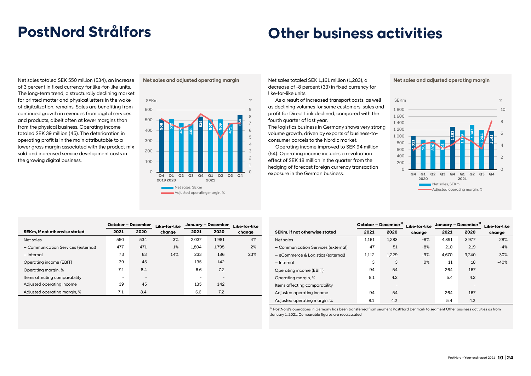# **PostNord Strålfors Other business activities**

Net sales totaled SEK 550 million (534), an increase of 3 percent in fixed currency for like-for-like units. The long-term trend, a structurally declining market for printed matter and physical letters in the wake of digitalization, remains. Sales are benefiting from continued growth in revenues from digital services and products, albeit often at lower margins than from the physical business. Operating income totaled SEK 39 million (45). The deterioration in operating profit is in the main attributable to a lower gross margin associated with the product mix sold and increased service development costs in the growing digital business.



**Net sales and adjusted operating margin** Net sales totaled SEK 1,161 million (1,283), a decrease of -8 percent (33) in fixed currency for like-for-like units.

> As a result of increased transport costs, as well as declining volumes for some customers, sales and profit for Direct Link declined, compared with the fourth quarter of last year.

The logistics business in Germany shows very strong volume growth, driven by exports of business-toconsumer parcels to the Nordic market.

Operating income improved to SEK 94 million (54). Operating income includes a revaluation effect of SEK 18 million in the quarter from the hedging of forecast foreign currency transaction exposure in the German business.

**Net sales and adjusted operating margin** 



|                                     | October - December |                          | Like-for-like | January - December | Like-for-like            |        |
|-------------------------------------|--------------------|--------------------------|---------------|--------------------|--------------------------|--------|
| SEKm, if not otherwise stated       | 2021               | 2020                     | chanae        | 2021               | 2020                     | change |
| Net sales                           | 550                | 534                      | 3%            | 2.037              | 1,981                    | 4%     |
| - Communication Services (external) | 477                | 471                      | 1%            | 1.804              | 1.795                    | 2%     |
| - Internal                          | 73                 | 63                       | 14%           | 233                | 186                      | 23%    |
| Operating income (EBIT)             | 39                 | 45                       |               | 135                | 142                      |        |
| Operating margin, %                 | 7.1                | 8.4                      |               | 6.6                | 7.2                      |        |
| Items affecting comparability       | ٠                  | $\overline{\phantom{a}}$ |               | -                  | $\overline{\phantom{0}}$ |        |
| Adjusted operating income           | 39                 | 45                       |               | 135                | 142                      |        |
| Adjusted operating margin, %        | 7.1                | 8.4                      |               | 6.6                | 7.2                      |        |

|                                      | October - December <sup>1)</sup> |                          | Like-for-like | January - December <sup>1)</sup> |       |        |
|--------------------------------------|----------------------------------|--------------------------|---------------|----------------------------------|-------|--------|
| <b>SEKm.</b> if not otherwise stated | 2021                             | 2020                     | chanae        | 2021                             | 2020  | change |
| Net sales                            | 1.161                            | 1.283                    | $-8%$         | 4.891                            | 3.977 | 28%    |
| - Communication Services (external)  | 47                               | 51                       | $-8%$         | 210                              | 219   | $-4%$  |
| - eCommerce & Logistics (external)   | 1.112                            | 1.229                    | $-9%$         | 4.670                            | 3.740 | 30%    |
| - Internal                           | 3                                | 3                        | 0%            | 11                               | 18    | $-40%$ |
| Operating income (EBIT)              | 94                               | 54                       |               | 264                              | 167   |        |
| Operating margin, %                  | 8.1                              | 4.2                      |               | 5.4                              | 4.2   |        |
| Items affecting comparability        | ۰                                | $\overline{\phantom{a}}$ |               |                                  |       |        |
| Adjusted operating income            | 94                               | 54                       |               | 264                              | 167   |        |
| Adjusted operating margin, %         | 8.1                              | 4.2                      |               | 5.4                              | 4.2   |        |

1) PostNord's operations in Germany has been transferred from segment PostNord Denmark to segment Other business activities as from January 1, 2021. Comparable figures are recalculated.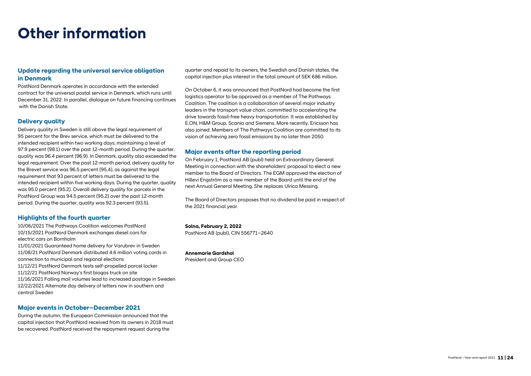## **Other information**

## **Update regarding the universal service obligation in Denmark**

PostNord Denmark operates in accordance with the extended contract for the universal postal service in Denmark, which runs until December 31, 2022. In parallel, dialogue on future financing continues with the Danish State.

## **Delivery quality**

Delivery quality in Sweden is still above the legal requirement of 95 percent for the Brev service, which must be delivered to the intended recipient within two working days, maintaining a level of 97.9 percent (98.1) over the past 12-month period. During the quarter, quality was 96.4 percent (96.9). In Denmark, quality also exceeded the legal requirement. Over the past 12-month period, delivery quality for the Brevet service was 96.5 percent (95.4), as against the legal requirement that 93 percent of letters must be delivered to the intended recipient within five working days. During the quarter, quality was 95.0 percent (95.2). Overall delivery quality for parcels in the PostNord Group was 94.5 percent (95.2) over the past 12-month period. During the quarter, quality was 92.3 percent (93.5).

#### **Highlights of the fourth quarter**

10/06/2021 The Pathways Coalition welcomes PostNord 10/15/2021 PostNord Denmark exchanges diesel cars for electric cars on Bornholm

11/01/2021 Guaranteed home delivery for Varubrev in Sweden 11/08/21 PostNord Denmark distributed 4.6 million voting cards in connection to municipal and regional elections 11/12/21 PostNord Denmark tests self-propelled parcel locker 11/12/21 PostNord Norway's first biogas truck on site 11/16/2021 Falling mail volumes lead to increased postage in Sweden 12/22/2021 Alternate day delivery of letters now in southern and central Sweden

#### **Major events in October–December 2021**

During the autumn, the European Commission announced that the capital injection that PostNord received from its owners in 2018 must be recovered. PostNord received the repayment request during the

quarter and repaid to its owners, the Swedish and Danish states, the capital injection plus interest in the total amount of SEK 686 million.

On October 6, it was announced that PostNord had become the first logistics operator to be approved as a member of The Pathways Coalition. The coalition is a collaboration of several major industry leaders in the transport value chain, committed to accelerating the drive towards fossil-free heavy transportation. It was established by E.ON, H&M Group, Scania and Siemens. More recently, Ericsson has also joined. Members of The Pathways Coalition are committed to its vision of achieving zero fossil emissions by no later than 2050.

#### **Major events after the reporting period**

On February 1, PostNord AB (publ) held an Extraordinary General Meeting in connection with the shareholders' proposal to elect a new member to the Board of Directors. The EGM approved the election of Hillevi Engström as a new member of the Board until the end of the next Annual General Meeting. She replaces Ulrica Messing.

The Board of Directors proposes that no dividend be paid in respect of the 2021 financial year.

**Solna, February 2, 2022** PostNord AB (publ), CIN 556771–2640

**Annemarie Gardshol** President and Group CEO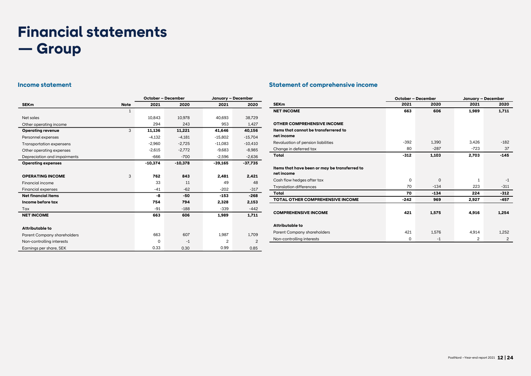# **Financial statements — Group**

|                                    |             | October - December |           | January - December |                |  |
|------------------------------------|-------------|--------------------|-----------|--------------------|----------------|--|
| <b>SEKm</b>                        | <b>Note</b> | 2021               | 2020      | 2021               | 2020           |  |
|                                    | 1           |                    |           |                    |                |  |
| Net sales                          |             | 10.843             | 10.978    | 40.693             | 38,729         |  |
| Other operating income             |             | 294                | 243       | 953                | 1,427          |  |
| <b>Operating revenue</b>           | 3           | 11,136             | 11,221    | 41,646             | 40,156         |  |
| Personnel expenses                 |             | $-4,132$           | $-4,181$  | $-15,802$          | $-15,704$      |  |
| <b>Transportation expensens</b>    |             | $-2,960$           | $-2,725$  | $-11,083$          | $-10,410$      |  |
| Other operating expenses           |             | $-2.615$           | $-2.772$  | $-9.683$           | $-8,985$       |  |
| Depreciation and impairments       |             | $-666$             | $-700$    | $-2,596$           | $-2,636$       |  |
| <b>Operating expenses</b>          |             | $-10,374$          | $-10,378$ | $-39,165$          | $-37,735$      |  |
|                                    |             |                    |           |                    |                |  |
| <b>OPERATING INCOME</b>            | 3           | 762                | 843       | 2.481              | 2,421          |  |
| Financial income                   |             | 33                 | 11        | 49                 | 48             |  |
| <b>Financial expenses</b>          |             | $-41$              | $-62$     | $-202$             | $-317$         |  |
| <b>Net financial items</b>         |             | -8                 | -50       | $-153$             | $-268$         |  |
| Income before tax                  |             | 754                | 794       | 2,328              | 2,153          |  |
| Tax                                |             | -91                | $-188$    | $-339$             | $-442$         |  |
| <b>NET INCOME</b>                  |             | 663                | 606       | 1,989              | 1,711          |  |
|                                    |             |                    |           |                    |                |  |
| Attributable to                    |             |                    |           |                    |                |  |
| <b>Parent Company shareholders</b> |             | 663                | 607       | 1,987              | 1.709          |  |
| Non-controlling interests          |             | 0                  | $-1$      | $\overline{2}$     | $\overline{2}$ |  |
| Earnings per share, SEK            |             | 0.33               | 0.30      | 0.99               | 0.85           |  |

## **Income statement Statement of comprehensive income**

|                                               | October - December |             | January - December |                |
|-----------------------------------------------|--------------------|-------------|--------------------|----------------|
| <b>SEKm</b>                                   | 2021               | 2020        | 2021               | 2020           |
| <b>NET INCOME</b>                             | 663                | 606         | 1,989              | 1,711          |
|                                               |                    |             |                    |                |
| <b>OTHER COMPREHENSIVE INCOME</b>             |                    |             |                    |                |
| Items that cannot be transferrered to         |                    |             |                    |                |
| net income                                    |                    |             |                    |                |
| Revaluation of pension liabilities            | $-392$             | 1,390       | 3,426              | $-182$         |
| Change in deferred tax                        | 80                 | $-287$      | $-723$             | 37             |
| Total                                         | $-312$             | 1.103       | 2.703              | $-145$         |
|                                               |                    |             |                    |                |
| Items that have been or may be transferred to |                    |             |                    |                |
| net income                                    |                    |             |                    |                |
| Cash flow hedges after tax                    | $\Omega$           | $\mathbf 0$ | 1                  | $-1$           |
| <b>Translation differences</b>                | 70                 | $-134$      | 223                | $-311$         |
| Total                                         | 70                 | $-134$      | 224                | $-312$         |
| <b>TOTAL OTHER COMPREHENSIVE INCOME</b>       | $-242$             | 969         | 2.927              | -457           |
|                                               |                    |             |                    |                |
| <b>COMPREHENSIVE INCOME</b>                   | 421                | 1,575       | 4,916              | 1,254          |
|                                               |                    |             |                    |                |
| <b>Attributable to</b>                        |                    |             |                    |                |
| Parent Company shareholders                   | 421                | 1.576       | 4.914              | 1.252          |
| Non-controlling interests                     | 0                  | $-1$        | 2                  | $\overline{2}$ |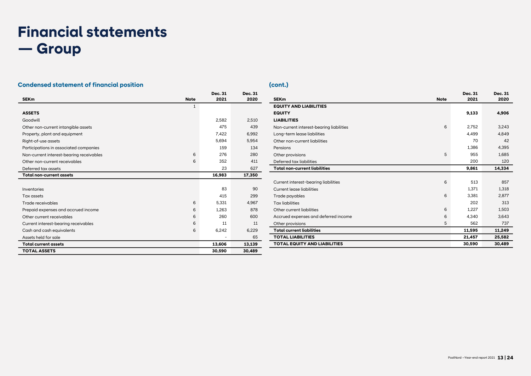# **Financial statements — Group**

## **Condensed statement of financial position (cont.) (cont.)**

|                                          |             | <b>Dec. 31</b> | <b>Dec. 31</b> |
|------------------------------------------|-------------|----------------|----------------|
| <b>SEKm</b>                              | <b>Note</b> | 2021           | 2020           |
|                                          | 1           |                |                |
| <b>ASSETS</b>                            |             |                |                |
| Goodwill                                 |             | 2.582          | 2,510          |
| Other non-current intangible assets      |             | 475            | 439            |
| Property, plant and equipment            |             | 7.422          | 6.992          |
| Right-of-use assets                      |             | 5,694          | 5,954          |
| Participations in associated companies   |             | 159            | 134            |
| Non-current interest-bearing receivables | 6           | 276            | 280            |
| Other non-current receivables            | 6           | 352            | 411            |
| Deferred tax assets                      |             | 23             | 627            |
| <b>Total non-current assets</b>          |             | 16,983         | 17,350         |
|                                          |             |                |                |
| Inventories                              |             | 83             | 90             |
| Tax assets                               |             | 415            | 299            |
| Trade receivables                        | 6           | 5,331          | 4,967          |
| Prepaid expenses and accrued income      | 6           | 1.263          | 878            |
| Other current receivables                | 6           | 260            | 600            |
| Current interest-bearing receivables     | 6           | 11             | 11             |
| Cash and cash equivalents                | 6           | 6,242          | 6,229          |
| Assets held for sale                     |             |                | 65             |
| <b>Total current assets</b>              |             | 13,606         | 13,139         |
| <b>TOTAL ASSETS</b>                      |             | 30,590         | 30,489         |

|                                          |             | Dec. 31 | Dec. 31 |
|------------------------------------------|-------------|---------|---------|
| <b>SEKm</b>                              | <b>Note</b> | 2021    | 2020    |
| <b>EQUITY AND LIABILITIES</b>            |             |         |         |
| <b>EQUITY</b>                            |             | 9,133   | 4,906   |
| <b>LIABILITIES</b>                       |             |         |         |
| Non-current interest-bearing liabilities | 6           | 2.752   | 3,243   |
| Long-term lease liabilities              |             | 4.499   | 4.849   |
| Other non-current liabilities            |             | 70      | 42      |
| Pensions                                 |             | 1.386   | 4,395   |
| Other provisions                         | 5           | 955     | 1,685   |
| Deferred tax liabilities                 |             | 200     | 120     |
| <b>Total non-current liabilities</b>     |             | 9,861   | 14,334  |
|                                          |             |         |         |
| Current interest-bearing liabilities     | 6           | 513     | 857     |
| <b>Current lease liabilities</b>         |             | 1,371   | 1,318   |
| Trade payables                           | 6           | 3.381   | 2.877   |
| <b>Tax liabilities</b>                   |             | 202     | 313     |
| Other current liabilities                | 6           | 1,227   | 1,503   |
| Accrued expenses and deferred income     | 6           | 4.340   | 3.643   |
| Other provisions                         | 5           | 562     | 737     |
| <b>Total current liabilities</b>         |             | 11,595  | 11,249  |
| <b>TOTAL LIABILITIES</b>                 |             | 21,457  | 25,582  |
| <b>TOTAL EQUITY AND LIABILITIES</b>      |             | 30.590  | 30.489  |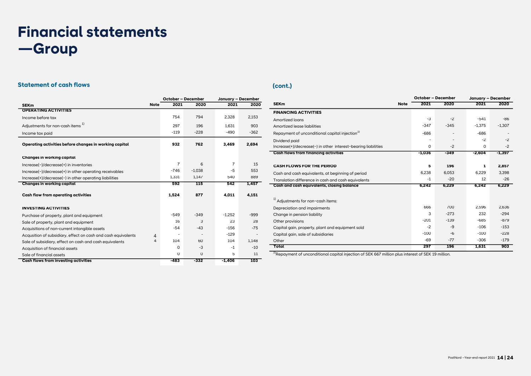## **Financial statements —Group**

## **Statement of cash flows (cont.)**

|                                                               |             | October - December |             | January - December |        |  |
|---------------------------------------------------------------|-------------|--------------------|-------------|--------------------|--------|--|
| <b>SEKm</b>                                                   | <b>Note</b> | 2021               | 2020        | 2021               | 2020   |  |
| <b>OPERATING ACTIVITIES</b>                                   |             |                    |             |                    |        |  |
| Income before tax                                             |             | 754                | 794         | 2,328              | 2,153  |  |
| Adjustments for non-cash items <sup>1)</sup>                  |             | 297                | 196         | 1.631              | 903    |  |
| Income tax paid                                               |             | $-119$             | $-228$      | $-490$             | $-362$ |  |
| Operating activities before changes in working capital        |             | 932                | 762         | 3.469              | 2.694  |  |
| Changes in working capital                                    |             |                    |             |                    |        |  |
| Increase(-)/decrease(+) in inventories                        |             | 7                  | 6           | 7                  | 15     |  |
| Increase(-)/decrease(+) in other operating receivables        |             | $-746$             | $-1,038$    | -5                 | 553    |  |
| Increase(+)/decrease(-) in other operating liabilities        |             | 1,331              | 1,147       | 540                | 889    |  |
| Changes in working capital                                    |             | 592                | 115         | 542                | 1,457  |  |
| Cash flow from operating activities                           |             | 1,524              | 877         | 4,011              | 4,151  |  |
| <b>INVESTING ACTIVITIES</b>                                   |             |                    |             |                    |        |  |
| Purchase of property, plant and equipment                     |             | $-549$             | $-349$      | $-1.252$           | $-999$ |  |
| Sale of property, plant and equipment                         |             | 16                 | 3           | 23                 | 28     |  |
| Acquisitions of non-current intangible assets                 |             | $-54$              | $-43$       | $-156$             | $-75$  |  |
| Acqusition of subsidiary, effect on cash and cash equivalents | 4           |                    |             | $-129$             |        |  |
| Sale of subsidiary, effect on cash and cash equivalents       | 4           | 104                | 60          | 104                | 1,148  |  |
| Acauisition of financial assets                               |             | 0                  | $-3$        | $-1$               | $-10$  |  |
| Sale of financial assets                                      |             | 0                  | $\mathbf 0$ | 5                  | 11     |  |
| Cash flows from investing activities                          |             | $-483$             | -332        | -1.406             | 103    |  |

|                                                               |          | October - December |          | January - December |
|---------------------------------------------------------------|----------|--------------------|----------|--------------------|
| <b>SEKm</b><br><b>Note</b>                                    | 2021     | 2020               | 2021     | 2020               |
| <b>FINANCING ACTIVITIES</b>                                   |          |                    |          |                    |
| Amortized loans                                               | $-3$     | $-2$               | $-541$   | -86                |
| Amortized lease liabilities                                   | $-347$   | $-345$             | $-1.375$ | $-1,307$           |
| Repayment of unconditional capital injection <sup>2)</sup>    | $-686$   | ۰                  | $-686$   |                    |
| Dividend paid                                                 |          |                    | $-2$     | $-2$               |
| Increase(+)/decrease(-) in other interest-bearing liabilities | $\Omega$ | $-2$               | $\Omega$ | $-2$               |
| <b>Cash flows from financing activities</b>                   | $-1,036$ | -349               | $-2,604$ | $-1,397$           |
|                                                               |          |                    |          |                    |
| <b>CASH FLOWS FOR THE PERIOD</b>                              | 5        | 196                | 1        | 2.857              |
| Cash and cash equivalents, at beginning of period             | 6,238    | 6,053              | 6,229    | 3,398              |
| Translation difference in cash and cash equivalents           | -1       | $-20$              | 12       | $-26$              |
| Cash and cash equivalents, closing balance                    | 6.242    | 6,229              | 6.242    | 6,229              |
|                                                               |          |                    |          |                    |
| <sup>1)</sup> Adjustments for non-cash items:                 |          |                    |          |                    |
| Depreciation and impairments                                  | 666      | 700                | 2.596    | 2.636              |
| Change in pension liability                                   | 3        | $-273$             | 232      | $-294$             |
| Other provisions                                              | $-201$   | $-139$             | $-685$   | $-879$             |
| Capital gain, property, plant and equipment sold              | $-2$     | $-9$               | $-106$   | $-153$             |
| Capital gain, sale of subsidiaries                            | $-100$   | $-6$               | $-100$   | $-228$             |
| Other                                                         | $-69$    | $-77$              | $-306$   | $-179$             |
| Total                                                         | 297      | 196                | 1,631    | 903                |

<sup>2)</sup>Repayment of unconditional capital injection of SEK 667 million plus interest of SEK 19 million.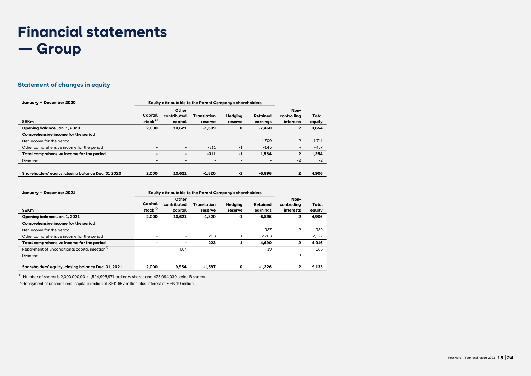## **Financial statements — Group**

## **Statement of changes in equity**

| January - December 2020                            | Equity attributable to the Parent Company's shareholders |                                 |                          |                          |                          |                                  |                 |
|----------------------------------------------------|----------------------------------------------------------|---------------------------------|--------------------------|--------------------------|--------------------------|----------------------------------|-----------------|
| <b>SEKm</b>                                        | Capital<br>stock $1)$                                    | Other<br>contributed<br>capital | Translation<br>reserve   | Hedaina<br>reserve       | Retained<br>earnings     | Non-<br>controlling<br>interests | Total<br>equity |
| Opening balance Jan. 1, 2020                       | 2.000                                                    | 10.621                          | $-1,509$                 | $\mathbf 0$              | $-7.460$                 | $\overline{2}$                   | 3,654           |
| Comprehensive income for the period                |                                                          |                                 |                          |                          |                          |                                  |                 |
| Net income for the period                          | $\overline{\phantom{a}}$                                 | $\overline{\phantom{a}}$        | $\overline{\phantom{a}}$ | $\overline{\phantom{a}}$ | 1.709                    | $\overline{2}$                   | 1.711           |
| Other comprehensive income for the period          |                                                          | $\overline{\phantom{a}}$        | $-311$                   | $-1$                     | $-145$                   | $\overline{\phantom{a}}$         | $-457$          |
| Total comprehensive income for the period          |                                                          | $\overline{\phantom{a}}$        | $-311$                   | $-1$                     | 1.564                    | 2                                | 1.254           |
| Dividend                                           | $\overline{\phantom{a}}$                                 | $\overline{\phantom{a}}$        | $\overline{\phantom{a}}$ | ٠                        | $\overline{\phantom{a}}$ | $-2$                             | $-2$            |
| Shareholders' equity, closing balance Dec. 31 2020 | 2.000                                                    | 10.621                          | $-1.820$                 | $-1$                     | $-5.896$                 | $\overline{2}$                   | 4.906           |

| January - December 2021                                    | Equity attributable to the Parent Company's shareholders |                      |             |         |          |                     |        |
|------------------------------------------------------------|----------------------------------------------------------|----------------------|-------------|---------|----------|---------------------|--------|
|                                                            | Capital                                                  | Other<br>contributed | Translation | Hedaina | Retained | Non-<br>controlling | Total  |
| <b>SEKm</b>                                                | stock $1)$                                               | capital              | reserve     | reserve | earninas | interests           | equity |
| Opening balance Jan. 1, 2021                               | 2,000                                                    | 10,621               | $-1,820$    | -1      | -5,896   | 2                   | 4,906  |
| Comprehensive income for the period                        |                                                          |                      |             |         |          |                     |        |
| Net income for the period                                  |                                                          |                      |             | ۰       | 1.987    | $\overline{c}$      | 1.989  |
| Other comprehensive income for the period                  |                                                          |                      | 223         |         | 2.703    |                     | 2,927  |
| Total comprehensive income for the period                  |                                                          |                      | 223         |         | 4,690    | 2                   | 4,916  |
| Repayment of unconditional capital injection <sup>2)</sup> |                                                          | $-667$               |             |         | $-19$    |                     | $-686$ |
| Dividend                                                   |                                                          |                      |             |         |          | $-2$                | $-2$   |
|                                                            |                                                          |                      |             |         |          |                     |        |
| Shareholders' equity, closing balance Dec. 31, 2021        | 2.000                                                    | 9.954                | $-1.597$    | 0       | -1.226   | 2                   | 9.133  |

 $^{1)}$  Number of shares is 2,000,000,001: 1,524,905,971 ordinary shares and 475,094,030 series B shares.

 $^{2)}$ Repayment of unconditional capital injection of SEK 667 million plus interest of SEK 19 million.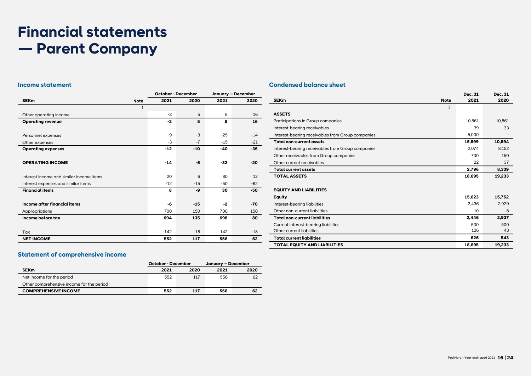# **Financial statements — Parent Company**

|                                          |             | <b>October - December</b> |       | January - December |       |  |
|------------------------------------------|-------------|---------------------------|-------|--------------------|-------|--|
| <b>SEK<sub>m</sub></b>                   | <b>Note</b> | 2021                      | 2020  | 2021               | 2020  |  |
|                                          | 1           |                           |       |                    |       |  |
| Other operating income                   |             | $-2$                      | 5     | 8                  | 16    |  |
| <b>Operating revenue</b>                 |             | $-2$                      | 5     | 8                  | 16    |  |
|                                          |             |                           |       |                    |       |  |
| Personnel expenses                       |             | $-9$                      | $-3$  | $-25$              | $-14$ |  |
| Other expenses                           |             | $-3$                      | $-7$  | $-15$              | $-21$ |  |
| <b>Operating expenses</b>                |             | $-12$                     | $-10$ | -40                | $-35$ |  |
|                                          |             |                           |       |                    |       |  |
| <b>OPERATING INCOME</b>                  |             | $-14$                     | -6    | $-32$              | $-20$ |  |
|                                          |             |                           |       |                    |       |  |
| Interest income and similar income items |             | 20                        | 6     | 80                 | 12    |  |
| Interest expenses and similar items      |             | $-12$                     | $-15$ | $-50$              | $-62$ |  |
| <b>Financial items</b>                   |             | 8                         | -9    | 30                 | -50   |  |
| Income after financial items             |             | -6                        | $-15$ | $-2$               | $-70$ |  |
| Appropriations                           |             | 700                       | 150   | 700                | 150   |  |
| Income before tax                        |             | 694                       | 135   | 698                | 80    |  |
|                                          |             |                           |       |                    |       |  |
| Tax                                      |             | $-142$                    | $-18$ | $-142$             | $-18$ |  |
| <b>NET INCOME</b>                        |             | 552                       | 117   | 556                | 62    |  |

## **Income statement Condensed balance sheet**

|                                                   | Dec. 31 | Dec. 31 |
|---------------------------------------------------|---------|---------|
| <b>SEK<sub>m</sub></b><br><b>Note</b>             | 2021    | 2020    |
| $\mathbf{1}$                                      |         |         |
| <b>ASSETS</b>                                     |         |         |
| Participations in Group companies                 | 10.861  | 10.861  |
| Interest-bearing receivables                      | 39      | 33      |
| Interest-bearing receivables from Group companies | 5.000   |         |
| <b>Total non-current assets</b>                   | 15,899  | 10,894  |
| Interest-bearing receivables from Group companies | 2,074   | 8,152   |
| Other receivables from Group companies            | 700     | 150     |
| Other current receivables                         | 22      | 37      |
| <b>Total current assets</b>                       | 2,796   | 8,339   |
| <b>TOTAL ASSETS</b>                               | 18,695  | 19,233  |
|                                                   |         |         |
| <b>EQUITY AND LIABILITIES</b>                     |         |         |
| <b>Equity</b>                                     | 15,623  | 15,752  |
| Interest-bearing liabilities                      | 2,436   | 2,929   |
| Other non-current liabilities                     | 10      | 8       |
| <b>Total non-current liabilities</b>              | 2.446   | 2.937   |
| Current interest-bearing liabilities              | 500     | 500     |
| Other current liabilities                         | 126     | 43      |
| <b>Total current liabilities</b>                  | 626     | 543     |
| <b>TOTAL EQUITY AND LIABILITIES</b>               | 18.695  | 19,233  |

## **Statement of comprehensive income**

|                                           | <b>October - December</b> |                          | January – December |      |
|-------------------------------------------|---------------------------|--------------------------|--------------------|------|
| <b>SEK<sub>m</sub></b>                    | 2021                      | 2020                     | 2021               | 2020 |
| Net income for the period                 | 552                       | 117                      | 556                | 62   |
| Other comprehensive income for the period | $\overline{\phantom{0}}$  | $\overline{\phantom{0}}$ | -                  |      |
| <b>COMPREHENSIVE INCOME</b>               | 552                       | 117                      | 556                | 62   |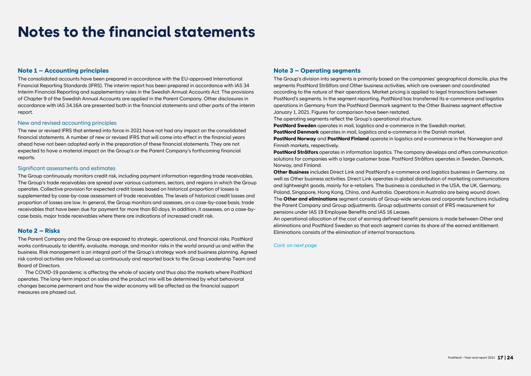## **Notes to the financial statements**

#### **Note 1 – Accounting principles**

The consolidated accounts have been prepared in accordance with the EU-approved International Financial Reporting Standards (IFRS). The interim report has been prepared in accordance with IAS 34 Interim Financial Reporting and supplementary rules in the Swedish Annual Accounts Act. The provisions of Chapter 9 of the Swedish Annual Accounts are applied in the Parent Company. Other disclosures in accordance with IAS 34.16A are presented both in the financial statements and other parts of the interim report.

#### New and revised accounting principles

The new or revised IFRS that entered into force in 2021 have not had any impact on the consolidated financial statements. A number of new or revised IFRS that will come into effect in the financial years ahead have not been adopted early in the preparation of these financial statements. They are not expected to have a material impact on the Group's or the Parent Company's forthcoming financial reports.

#### Significant assessments and estimates

The Group continuously monitors credit risk, including payment information regarding trade receivables. The Group's trade receivables are spread over various customers, sectors, and regions in which the Group operates. Collective provision for expected credit losses based on historical proportion of losses is supplemented by case-by-case assessment of trade receivables. The levels of historical credit losses and proportion of losses are low. In general, the Group monitors and assesses, on a case-by-case basis, trade receivables that have been due for payment for more than 60 days. In addition, it assesses, on a case-bycase basis, major trade receivables where there are indications of increased credit risk.

#### **Note 2 – Risks**

The Parent Company and the Group are exposed to strategic, operational, and financial risks. PostNord works continuously to identify, evaluate, manage, and monitor risks in the world around us and within the business. Risk management is an integral part of the Group's strategy work and business planning. Agreed risk control activities are followed up continuously and reported back to the Group Leadership Team and Board of Directors.

The COVID-19 pandemic is affecting the whole of society and thus also the markets where PostNord operates. The long-term impact on sales and the product mix will be determined by what behavioral changes become permanent and how the wider economy will be affected as the financial support measures are phased out.

#### **Note 3 – Operating segments**

The Group's division into segments is primarily based on the companies' geographical domicile, plus the segments PostNord Strålfors and Other business activities, which are overseen and coordinated according to the nature of their operations. Market pricing is applied to legal transactions between PostNord's segments. In the segment reporting, PostNord has transferred its e-commerce and logistics operations in Germany from the PostNord Denmark segment to the Other Business segment effective January 1, 2021. Figures for comparison have been restated.

The operating segments reflect the Group's operational structure.

**PostNord Sweden** operates in mail, logistics and e-commerce in the Swedish market.

**PostNord Denmark** operates in mail, logistics and e-commerce in the Danish market.

**PostNord Norway** and **PostNord Finland** operate in logistics and e-commerce in the Norwegian and Finnish markets, respectively.

**PostNord Strålfors** operates in information logistics. The company develops and offers communication solutions for companies with a large customer base. PostNord Strålfors operates in Sweden, Denmark, Norway, and Finland.

**Other Business** includes Direct Link and PostNord's e-commerce and logistics business in Germany, as well as Other business activities. Direct Link operates in global distribution of marketing communications and lightweight goods, mainly for e-retailers. The business is conducted in the USA, the UK, Germany, Poland, Singapore, Hong Kong, China, and Australia. Operations in Australia are being wound down. The **Other and eliminations** segment consists of Group-wide services and corporate functions including the Parent Company and Group adjustments. Group adjustments consist of IFRS measurement for pensions under IAS 19 Employee Benefits and IAS 16 Leases.

An operational allocation of the cost of earning defined-benefit pensions is made between Other and eliminations and PostNord Sweden so that each segment carries its share of the earned entitlement. Eliminations consists of the elimination of internal transactions.

#### *Cont. on next page*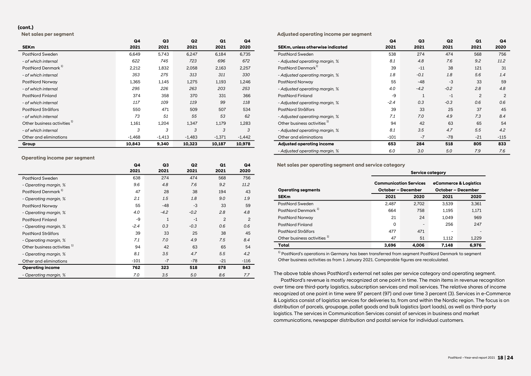#### **(cont.)**

**Net sales per segment**

|                                         | Q4       | Q <sub>3</sub> | Q <sub>2</sub> | Q1       | Q4       |
|-----------------------------------------|----------|----------------|----------------|----------|----------|
| <b>SEKm</b>                             | 2021     | 2021           | 2021           | 2021     | 2020     |
| PostNord Sweden                         | 6,649    | 5,743          | 6,247          | 6,184    | 6,735    |
| - of which internal                     | 622      | 745            | 723            | 696      | 672      |
| PostNord Denmark <sup>1)</sup>          | 2,212    | 1,832          | 2,058          | 2,163    | 2,257    |
| - of which internal                     | 353      | 275            | 313            | 311      | 330      |
| PostNord Norway                         | 1,365    | 1,145          | 1,275          | 1,193    | 1,246    |
| - of which internal                     | 295      | 226            | 263            | 203      | 253      |
| <b>PostNord Finland</b>                 | 374      | 358            | 370            | 331      | 366      |
| - of which internal                     | 117      | 109            | 119            | 99       | 118      |
| PostNord Strålfors                      | 550      | 471            | 509            | 507      | 534      |
| - of which internal                     | 73       | 51             | 55             | 53       | 62       |
| Other business activities <sup>1)</sup> | 1,161    | 1,204          | 1,347          | 1,179    | 1,283    |
| - of which internal                     | 3        | 3              | 3              | 3        | 3        |
| Other and eliminations                  | $-1.468$ | $-1,413$       | $-1,483$       | $-1,371$ | $-1,442$ |
| Group                                   | 10,843   | 9,340          | 10,323         | 10,187   | 10,978   |

#### **Operating income per segment**

|                                         | Q4     | Q3           | Q <sub>2</sub> | Q1             | Q4     |
|-----------------------------------------|--------|--------------|----------------|----------------|--------|
|                                         | 2021   | 2021         | 2021           | 2021           | 2020   |
| PostNord Sweden                         | 638    | 274          | 474            | 568            | 756    |
| - Operating margin, %                   | 9.6    | 4.8          | 7.6            | 9.2            | 11.2   |
| PostNord Denmark <sup>1)</sup>          | 47     | 28           | 38             | 194            | 43     |
| - Operating margin, %                   | 2.1    | 1.5          | 1.8            | 9.0            | 1.9    |
| PostNord Norway                         | 55     | $-48$        | $-3$           | 33             | 59     |
| - Operating margin, %                   | 4.0    | $-4.2$       | $-0.2$         | 2.8            | 4.8    |
| <b>PostNord Finland</b>                 | -9     | $\mathbf{1}$ | $-1$           | $\overline{2}$ | 2      |
| - Operating margin, %                   | $-2.4$ | 0.3          | $-0.3$         | 0.6            | 0.6    |
| PostNord Strålfors                      | 39     | 33           | 25             | 38             | 45     |
| - Operating margin, %                   | 7.1    | 7.0          | 4.9            | 7.5            | 8.4    |
| Other business activities <sup>1)</sup> | 94     | 42           | 63             | 65             | 54     |
| - Operating margin, %                   | 8.1    | 3.5          | 4.7            | 5.5            | 4.2    |
| Other and eliminations                  | $-101$ | $-7$         | $-78$          | $-21$          | $-116$ |
| <b>Operating income</b>                 | 762    | 323          | 518            | 878            | 843    |
| - Operating margin, %                   | 7.0    | 3.5          | 5.0            | 8.6            | 7.7    |

#### **Adjusted operating income per segment**

|                                         | Q4     | Q <sub>3</sub> | Q <sub>2</sub> | Q1             | Q4             |
|-----------------------------------------|--------|----------------|----------------|----------------|----------------|
| SEKm, unless otherwise indicated        | 2021   | 2021           | 2021           | 2021           | 2020           |
| PostNord Sweden                         | 538    | 274            | 474            | 568            | 756            |
| - Adjusted operating margin, %          | 8.1    | 4.8            | 7.6            | 9.2            | 11.2           |
| PostNord Denmark <sup>1)</sup>          | 39     | $-11$          | 38             | 121            | 31             |
| - Adjusted operating margin, %          | 1.8    | $-0.1$         | 1.8            | 5.6            | 1.4            |
| PostNord Norway                         | 55     | $-48$          | $-3$           | 33             | 59             |
| - Adjusted operating margin, %          | 4.0    | $-4.2$         | $-0.2$         | 2.8            | 4.8            |
| <b>PostNord Finland</b>                 | $-9$   | $\mathbf{1}$   | $-1$           | $\overline{2}$ | $\overline{2}$ |
| - Adjusted operating margin, %          | $-2.4$ | 0.3            | $-0.3$         | 0.6            | 0.6            |
| PostNord Strålfors                      | 39     | 33             | 25             | 37             | 45             |
| - Adjusted operating margin, %          | 7.1    | 7.0            | 4.9            | 7.3            | 8.4            |
| Other business activities <sup>1)</sup> | 94     | 42             | 63             | 65             | 54             |
| - Adjusted operating margin, %          | 8.1    | 3.5            | 4.7            | 5.5            | 4.2            |
| Other and eliminations                  | $-101$ | $-7$           | $-78$          | $-21$          | $-115$         |
| <b>Adjusted operating income</b>        | 653    | 284            | 518            | 805            | 833            |
| - Adjusted operating margin, %          | 6.0    | 3.0            | 5.0            | 7.9            | 7.6            |

**Net sales per operating segment and service category**

|                                         | <b>Service category</b>                             |                          |       |                                             |  |  |
|-----------------------------------------|-----------------------------------------------------|--------------------------|-------|---------------------------------------------|--|--|
| <b>Operating segments</b>               | <b>Communication Services</b><br>October - December |                          |       | eCommerce & Logistics<br>October - December |  |  |
| <b>SEK<sub>m</sub></b>                  | 2021                                                | 2020                     | 2021  | 2020                                        |  |  |
| PostNord Sweden                         | 2.487                                               | 2.702                    | 3.539 | 3.361                                       |  |  |
| PostNord Denmark <sup>1)</sup>          | 664                                                 | 758                      | 1.195 | 1,171                                       |  |  |
| PostNord Norway                         | 21                                                  | 24                       | 1.049 | 969                                         |  |  |
| PostNord Finland                        | 0                                                   | $\overline{\phantom{a}}$ | 256   | 247                                         |  |  |
| PostNord Strålfors                      | 477                                                 | 471                      | -     |                                             |  |  |
| Other business activities <sup>1)</sup> | 47                                                  | 51                       | 1.112 | 1,229                                       |  |  |
| Total                                   | 3.696                                               | 4.006                    | 7.148 | 6.976                                       |  |  |

 $1)$  PostNord's operations in Germany has been transferred from segment PostNord Denmark to segment Other business activities as from 1 January 2021. Comparable figures are recalculated.

The above table shows PostNord's external net sales per service category and operating segment.

PostNord's revenue is mostly recognized at one point in time. The main items in revenue recognition over time are third-party logistics, subscription services and mail services. The relative shares of income recognized at one point in time were 97 percent (97) and over time 3 percent (3). Services in e-Commerce & Logistics consist of logistics services for deliveries to, from and within the Nordic region. The focus is on distribution of parcels, groupage, pallet goods and bulk logistics (part loads), as well as third-party logistics. The services in Communication Services consist of services in business and market communications, newspaper distribution and postal service for individual customers.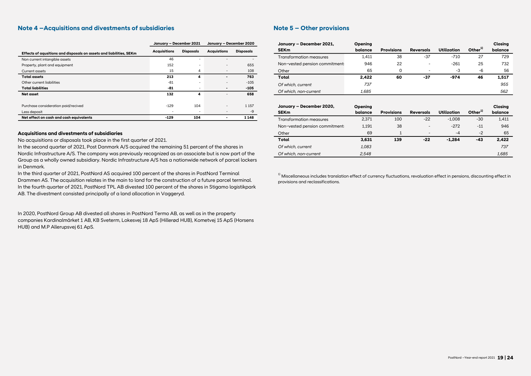#### **Note 4 –Acquisitions and divestments of subsidiaries**

|                                                                     | January - December 2021  |                          | January - December 2020  |                  | January - December 2021,       |
|---------------------------------------------------------------------|--------------------------|--------------------------|--------------------------|------------------|--------------------------------|
| Effects of aqusitions and disposals on assets and liabilities, SEKm | <b>Acquisitions</b>      | <b>Disposals</b>         | <b>Acquistions</b>       | <b>Disposals</b> | <b>SEKm</b>                    |
| Non current intangible assets                                       | 46                       |                          |                          |                  | <b>Transformation measures</b> |
| Property, plant and equipment                                       | 152                      | -                        | $\overline{\phantom{a}}$ | 655              | Non-vested pension commitr     |
| <b>Current assets</b>                                               | 15                       | 4                        | $\overline{\phantom{0}}$ | 108              | Other                          |
| <b>Total assets</b>                                                 | 213                      | 4                        |                          | 763              | Total                          |
| Other current liabilities                                           | $-81$                    | $\overline{\phantom{0}}$ | $\overline{\phantom{a}}$ | $-105$           | Of which, current              |
| <b>Total liabilities</b>                                            | -81                      |                          | $\blacksquare$           | $-105$           |                                |
| Net asset                                                           | 132                      | 4                        |                          | 658              | Of which, non-current          |
|                                                                     |                          |                          |                          |                  |                                |
| Purchase consideration paid/recived                                 | $-129$                   | 104                      | $\overline{\phantom{0}}$ | 1 1 5 7          | January - December 2020,       |
| Less deposit                                                        | $\overline{\phantom{a}}$ |                          | $\overline{\phantom{a}}$ | -9               | <b>SEKm</b>                    |
| Net effect on cash and cash equivalents                             | $-129$                   | 104                      |                          | 1148             | <b>Transformation measures</b> |

#### **Acquisitions and divestments of subsidiaries**

No acquisitions or disposals took place in the first quarter of 2021.

In the second quarter of 2021, Post Danmark A/S acquired the remaining 51 percent of the shares in Nordic Infrastructure A/S. The company was previously recognized as an associate but is now part of the Group as a wholly owned subsidiary. Nordic Infrastructure A/S has a nationwide network of parcel lockers in Denmark.

In the third quarter of 2021, PostNord AS acquired 100 percent of the shares in PostNord Terminal Drammen AS. The acquisition relates in the main to land for the construction of a future parcel terminal. In the fourth quarter of 2021, PostNord TPL AB divested 100 percent of the shares in Stigamo logistikpark AB. The divestment consisted principally of a land allocation in Vaggeryd.

In 2020, PostNord Group AB divested all shares in PostNord Termo AB, as well as in the property companies Kardinalmärket 1 AB, KB Sveterm, Lokesvej 18 ApS (Hillerød HUB), Kometvej 15 ApS (Horsens HUB) and M.P Allerupsvej 61 ApS.

## **Note 5 – Other provisions**

| January - December 2021,       | Opening |                   |                          |                    |               | Closing |
|--------------------------------|---------|-------------------|--------------------------|--------------------|---------------|---------|
| <b>SEKm</b>                    | balance | <b>Provisions</b> | <b>Reversals</b>         | <b>Utilization</b> | Other $^{1)}$ | balance |
| <b>Transformation measures</b> | 1.411   | 38                | $-37$                    | $-710$             | 27            | 729     |
| Non-vested pension commitment: | 946     | 22                | $\overline{\phantom{a}}$ | $-261$             | 25            | 732     |
| Other                          | 65      | O                 | $\overline{\phantom{0}}$ | -3                 | -6            | 56      |
| Total                          | 2.422   | 60                | -37                      | $-974$             | 46            | 1,517   |
| Of which, current              | 737     |                   |                          |                    |               | 955     |
| Of which, non-current          | 1.685   |                   |                          |                    |               | 562     |

| January - December 2020,       | Opening |                   |                          |             |               | Closina |
|--------------------------------|---------|-------------------|--------------------------|-------------|---------------|---------|
| <b>SEKm</b>                    | balance | <b>Provisions</b> | <b>Reversals</b>         | Utilization | Other $^{1)}$ | balance |
| Transformation measures        | 2,371   | 100               | $-22$                    | $-1.008$    | $-30$         | 1,411   |
| Non-vested pension commitment: | 1.191   | 38                | $\overline{\phantom{a}}$ | $-272$      | $-11$         | 946     |
| Other                          | 69      |                   | $\overline{\phantom{a}}$ | $-4$        | $-2$          | 65      |
| Total                          | 3,631   | 139               | $-22$                    | $-1.284$    | $-43$         | 2.422   |
| Of which, current              | 1.083   |                   |                          |             |               | 737     |
| Of which, non-current          | 2.548   |                   |                          |             |               | 1,685   |

 $1)$  Miscellaneous includes translation effect of currency fluctuations, revaluation effect in pensions, discounting effect in provisions and reclassifications.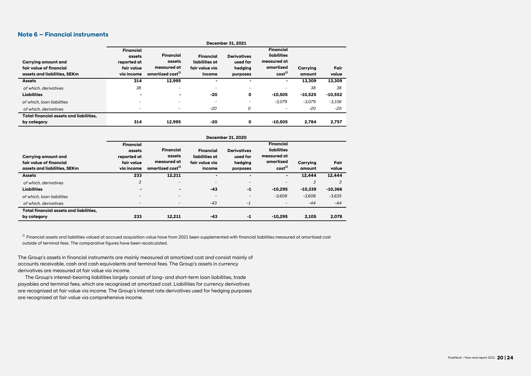#### **Note 6 – Financial instruments**

|                                                                                | <b>December 31, 2021</b>                                              |                                                                           |                                                                |                                                       |                                                                                  |                    |               |  |
|--------------------------------------------------------------------------------|-----------------------------------------------------------------------|---------------------------------------------------------------------------|----------------------------------------------------------------|-------------------------------------------------------|----------------------------------------------------------------------------------|--------------------|---------------|--|
| Carrying amount and<br>fair value of financial<br>assets and liabilities. SEKm | <b>Financial</b><br>assets<br>reported at<br>fair value<br>via income | <b>Financial</b><br>assets<br>measured at<br>amortized cost <sup>1)</sup> | <b>Financial</b><br>liabilities at<br>fair value via<br>income | <b>Derivatives</b><br>used for<br>hedging<br>purposes | <b>Financial</b><br>liabilities<br>measured at<br>amortized<br>cost <sup>1</sup> | Carrying<br>amount | Fair<br>value |  |
| <b>Assets</b>                                                                  | 314                                                                   | 12.995                                                                    |                                                                |                                                       | ۰                                                                                | 13,309             | 13,309        |  |
| of which, derivatives                                                          | 38                                                                    | $\overline{\phantom{0}}$                                                  | $\overline{\phantom{a}}$                                       | $\overline{\phantom{0}}$                              |                                                                                  | 38                 | 38            |  |
| <b>Liabilities</b>                                                             |                                                                       | $\blacksquare$                                                            | -20                                                            | o                                                     | $-10.505$                                                                        | $-10.525$          | $-10,552$     |  |
| of which, loan liabilities                                                     |                                                                       | $\overline{\phantom{0}}$                                                  | $\overline{\phantom{a}}$                                       | $\overline{\phantom{0}}$                              | $-3.079$                                                                         | $-3.079$           | $-3,106$      |  |
| of which, derivatives                                                          |                                                                       | $\overline{\phantom{a}}$                                                  | $-20$                                                          | 0                                                     |                                                                                  | $-20$              | $-20$         |  |
| Total financial assets and liabilities.                                        |                                                                       |                                                                           |                                                                |                                                       |                                                                                  |                    |               |  |
| by category                                                                    | 314                                                                   | 12.995                                                                    | -20                                                            | o                                                     | $-10.505$                                                                        | 2.784              | 2,757         |  |

|                                         | <b>December 31, 2020</b> |                              |                          |                          |                          |           |           |  |  |
|-----------------------------------------|--------------------------|------------------------------|--------------------------|--------------------------|--------------------------|-----------|-----------|--|--|
|                                         | <b>Financial</b>         |                              |                          |                          | <b>Financial</b>         |           |           |  |  |
|                                         | assets                   | <b>Financial</b>             | <b>Financial</b>         | <b>Derivatives</b>       | liabilities              |           |           |  |  |
| Carrying amount and                     | reported at              | assets                       | liabilities at           | used for                 | measured at              |           |           |  |  |
| fair value of financial                 | fair value               | measured at                  | fair value via           | hedging                  | amortized                | Carrying  | Fair      |  |  |
| assets and liabilities, SEKm            | via income               | amortized cost <sup>1)</sup> | income                   | purposes                 | cost <sup>1</sup>        | amount    | value     |  |  |
| <b>Assets</b>                           | 233                      | 12,211                       | ۰.                       | ۰                        |                          | 12.444    | 12.444    |  |  |
| of which, derivatives                   | 3                        | $\overline{\phantom{0}}$     | $\overline{\phantom{0}}$ | $\overline{\phantom{a}}$ | $\overline{\phantom{a}}$ | 3         | 3         |  |  |
| <b>Liabilities</b>                      | $\blacksquare$           | $\blacksquare$               | $-43$                    | -1                       | $-10.295$                | $-10,339$ | $-10,366$ |  |  |
| of which, loan liabilities              | $\overline{\phantom{a}}$ | $\overline{\phantom{a}}$     | $\overline{\phantom{a}}$ | $\overline{\phantom{a}}$ | $-3.608$                 | $-3.608$  | $-3,635$  |  |  |
| of which, derivatives                   | $\overline{\phantom{a}}$ | $\overline{\phantom{a}}$     | $-43$                    | $-1$                     | $\overline{\phantom{a}}$ | $-44$     | $-44$     |  |  |
| Total financial assets and liabilities. |                          |                              |                          |                          |                          |           |           |  |  |
| by category                             | 233                      | 12,211                       | $-43$                    | -1                       | $-10.295$                | 2,105     | 2,078     |  |  |

 $^{1)}$  Financial assets and liabilities valued at accrued acquisition value have from 2021 been supplemented with financial liabilities measured at amortized cost outside of terminal fees. The comparative figures have been recalculated.

The Group's assets in financial instruments are mainly measured at amortized cost and consist mainly of accounts receivable, cash and cash equivalents and terminal fees. The Group's assets in currency derivatives are measured at fair value via income.

The Group's interest-bearing liabilities largely consist of long- and short-term loan liabilities, trade payables and terminal fees, which are recognized at amortized cost. Liabilities for currency derivatives are recognized at fair value via income. The Group's interest rate derivatives used for hedging purposes are recognized at fair value via comprehensive income.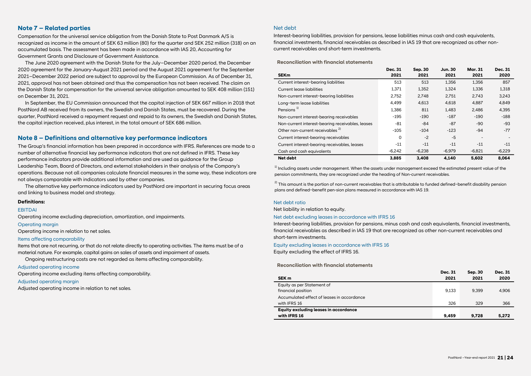#### **Note 7 – Related parties**

Compensation for the universal service obligation from the Danish State to Post Danmark A/S is recognized as income in the amount of SEK 63 million (80) for the quarter and SEK 252 million (318) on an accumulated basis. The assessment has been made in accordance with IAS 20, Accounting for Government Grants and Disclosure of Government Assistance.

The June 2020 agreement with the Danish State for the July–December 2020 period, the December 2020 agreement for the January-August 2021 period and the August 2021 agreement for the September 2021–December 2022 period are subject to approval by the European Commission. As of December 31, 2021, approval has not been obtained and thus the compensation has not been received. The claim on the Danish State for compensation for the universal service obligation amounted to SEK 408 million (151) on December 31, 2021.

In September, the EU Commission announced that the capital injection of SEK 667 million in 2018 that PostNord AB received from its owners, the Swedish and Danish States, must be recovered. During the quarter, PostNord received a repayment request and repaid to its owners, the Swedish and Danish States, the capital injection received, plus interest, in the total amount of SEK 686 million.

#### **Note 8 – Definitions and alternative key performance indicators**

The Group's financial information has been prepared in accordance with IFRS. References are made to a number of alternative financial key performance indicators that are not defined in IFRS. These key performance indicators provide additional information and are used as guidance for the Group Leadership Team, Board of Directors, and external stakeholders in their analysis of the Company's operations. Because not all companies calculate financial measures in the same way, these indicators are not always comparable with indicators used by other companies.

The alternative key performance indicators used by PostNord are important in securing focus areas and linking to business model and strategy.

#### **Definitions:**

#### **FRITDAI**

Operating income excluding depreciation, amortization, and impairments.

#### Operating margin

Operating income in relation to net sales.

#### Items affecting comparability

Items that are not recurring, or that do not relate directly to operating activities. The items must be of a material nature. For example, capital gains on sales of assets and impairment of assets.

Ongoing restructuring costs are not regarded as items affecting comparability.

#### Adjusted operating income

Operating income excluding items affecting comparability.

#### Adjusted operating margin

Adjusted operating income in relation to net sales.

#### Net debt

Interest-bearing liabilities, provision for pensions, lease liabilities minus cash and cash equivalents, financial investments, financial receivables as described in IAS 19 that are recognized as other noncurrent receivables and short-term investments.

**Reconciliation with financial statements**

|                                                  | Dec. 31  | Sep. 30  | <b>Jun. 30</b> | <b>Mar. 31</b> | Dec. 31  |
|--------------------------------------------------|----------|----------|----------------|----------------|----------|
| <b>SEKm</b>                                      | 2021     | 2021     | 2021           | 2021           | 2020     |
| Current interest-bearing liabilities             | 513      | 513      | 1.356          | 1.356          | 857      |
| Current lease liabilities                        | 1,371    | 1.352    | 1.324          | 1,336          | 1,318    |
| Non-current interest-bearing liabilities         | 2,752    | 2.748    | 2.751          | 2.743          | 3,243    |
| Long-term lease liabilities                      | 4.499    | 4.613    | 4.618          | 4.887          | 4.849    |
| Pensions <sup>1)</sup>                           | 1,386    | 811      | 1.483          | 2.486          | 4,395    |
| Non-current interest-bearing receivables         | $-195$   | $-190$   | $-187$         | $-190$         | $-188$   |
| Non-current interest-bearing receivables, leases | -81      | $-84$    | $-87$          | -90            | $-93$    |
| Other non-current receivables <sup>2)</sup>      | $-105$   | $-104$   | $-123$         | $-94$          | $-77$    |
| Current interest-bearing receivables             | $\Omega$ | $-2$     | $-5$           |                |          |
| Current interest-bearing receivables, leases     | $-11$    | $-11$    | $-11$          | $-11$          | $-11$    |
| Cash and cash equivalents                        | $-6,242$ | $-6.238$ | $-6.979$       | $-6.821$       | $-6,229$ |
| <b>Net debt</b>                                  | 3,885    | 3.408    | 4,140          | 5,602          | 8.064    |

 $1)$  Includina assets under management. When the assets under management exceed the estimated present value of the pension commitments, they are recognized under the heading of Non-current receivables.

2) This amount is the portion of non-current receivables that is attributable to funded defined−benefit disability pension plans and defined−benefit pen-sion plans measured in accordance with IAS 19.

#### Net debt ratio

Net liability in relation to equity.

#### Net debt excluding leases in accordance with IFRS 16

Interest-bearing liabilities, provision for pensions, minus cash and cash equivalents, financial investments, financial receivables as described in IAS 19 that are recognized as other non-current receivables and short-term investments.

Equity excluding leases in accordance with IFRS 16

Equity excluding the effect of IFRS 16.

#### **Reconciliation with financial statements**

|                                            | <b>Dec. 31</b> | <b>Sep. 30</b> | <b>Dec. 31</b> |
|--------------------------------------------|----------------|----------------|----------------|
| SEK <sub>m</sub>                           | 2021           | 2021           | 2020           |
| Equity as per Statement of                 |                |                |                |
| financial position                         | 9.133          | 9.399          | 4.906          |
| Accumulated effect of leases in accordance |                |                |                |
| with IFRS 16                               | 326            | 329            | 366            |
| Equity excluding leases in accordance      |                |                |                |
| with IFRS 16                               | 9.459          | 9.728          | 5.272          |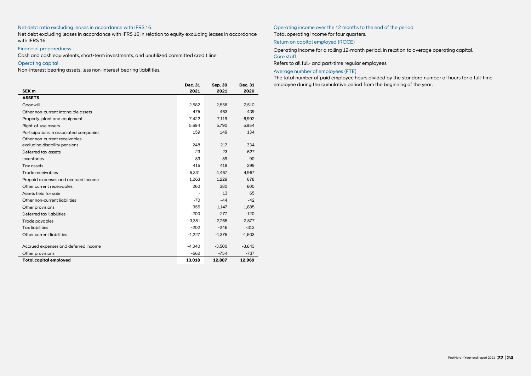#### Net debt ratio excluding leases in accordance with IFRS 16

Net debt excluding leases in accordance with IFRS 16 in relation to equity excluding leases in accordance with IFRS 16.

#### Financial preparedness

Cash and cash equivalents, short-term investments, and unutilized committed credit line.

#### Operating capital

Non-interest bearing assets, less non-interest bearing liabilities.

| SEK <sub>m</sub>                       | Dec. 31<br>2021 | Sep. 30<br>2021 | Dec. 31<br>2020 |
|----------------------------------------|-----------------|-----------------|-----------------|
| <b>ASSETS</b>                          |                 |                 |                 |
| Goodwill                               | 2,582           | 2,558           | 2,510           |
| Other non-current intangible assets    | 475             | 463             | 439             |
| Property, plant and equipment          | 7,422           | 7.119           | 6,992           |
| Right-of-use assets                    | 5.694           | 5.790           | 5.954           |
| Participations in associated companies | 159             | 149             | 134             |
| Other non-current receivables          |                 |                 |                 |
| excluding disability pensions          | 248             | 217             | 334             |
| Deferred tax assets                    | 23              | 23              | 627             |
| Inventories                            | 83              | 89              | 90              |
| Tax assets                             | 415             | 418             | 299             |
| Trade receivables                      | 5,331           | 4,467           | 4,967           |
| Prepaid expenses and accrued income    | 1.263           | 1.229           | 878             |
| Other current receivables              | 260             | 380             | 600             |
| Assets held for sale                   |                 | 13              | 65              |
| Other non-current liabilities          | $-70$           | $-44$           | $-42$           |
| Other provisions                       | $-955$          | $-1.147$        | $-1.685$        |
| Deferred tax liabilities               | $-200$          | $-277$          | $-120$          |
| Trade payables                         | $-3.381$        | $-2.765$        | $-2,877$        |
| <b>Tax liabilities</b>                 | $-202$          | $-246$          | $-313$          |
| Other current liabilities              | $-1,227$        | $-1,375$        | $-1,503$        |
| Accrued expenses and deferred income   | $-4,340$        | $-3,500$        | $-3,643$        |
| Other provisions                       | $-562$          | $-754$          | $-737$          |
| <b>Total capital employed</b>          | 13,018          | 12,807          | 12,969          |
|                                        |                 |                 |                 |

#### Operating income over the 12 months to the end of the period Total operating income for four quarters.

Return on capital employed (ROCE)

Operating income for a rolling 12-month period, in relation to average operating capital. Core staff

Refers to all full- and part-time regular employees.

Average number of employees (FTE)

The total number of paid employee hours divided by the standard number of hours for a full-time employee during the cumulative period from the beginning of the year.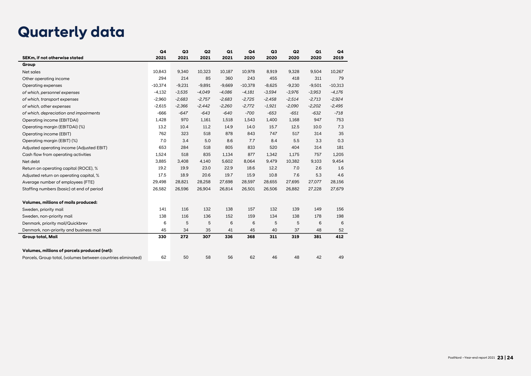# **Quarterly data**

|                                                              | Q <sub>4</sub> | Q <sub>3</sub> | Q <sub>2</sub> | Q1       | Q <sub>4</sub> | Q <sub>3</sub> | Q2       | Q1       | Q4        |
|--------------------------------------------------------------|----------------|----------------|----------------|----------|----------------|----------------|----------|----------|-----------|
| SEKm, if not otherwise stated                                | 2021           | 2021           | 2021           | 2021     | 2020           | 2020           | 2020     | 2020     | 2019      |
| Group                                                        |                |                |                |          |                |                |          |          |           |
| Net sales                                                    | 10,843         | 9,340          | 10,323         | 10,187   | 10,978         | 8,919          | 9,328    | 9,504    | 10,267    |
| Other operating income                                       | 294            | 214            | 85             | 360      | 243            | 455            | 418      | 311      | 79        |
| Operating expenses                                           | $-10,374$      | $-9,231$       | $-9,891$       | $-9,669$ | $-10,378$      | $-8,625$       | $-9,230$ | $-9,501$ | $-10,313$ |
| of which, personnel expenses                                 | $-4,132$       | $-3,535$       | $-4,049$       | $-4,086$ | $-4,181$       | $-3,594$       | $-3,976$ | $-3,953$ | $-4,176$  |
| of which, transport expenses                                 | $-2,960$       | $-2,683$       | $-2,757$       | $-2,683$ | $-2,725$       | $-2,458$       | $-2,514$ | $-2.713$ | $-2,924$  |
| of which, other expenses                                     | $-2,615$       | $-2,366$       | $-2,442$       | $-2,260$ | $-2,772$       | $-1,921$       | $-2,090$ | $-2,202$ | $-2,495$  |
| of which, depreciation and impairments                       | $-666$         | $-647$         | $-643$         | $-640$   | $-700$         | $-653$         | $-651$   | $-632$   | $-718$    |
| Operating income (EBITDAI)                                   | 1,428          | 970            | 1,161          | 1,518    | 1,543          | 1,400          | 1,168    | 947      | 753       |
| Operating margin (EBITDAI) (%)                               | 13.2           | 10.4           | 11.2           | 14.9     | 14.0           | 15.7           | 12.5     | 10.0     | 7.3       |
| Operating income (EBIT)                                      | 762            | 323            | 518            | 878      | 843            | 747            | 517      | 314      | 35        |
| Operating margin (EBIT) (%)                                  | 7.0            | 3.4            | 5.0            | 8.6      | 7.7            | 8.4            | 5.5      | 3.3      | 0.3       |
| Adjusted operating income (Adjusted EBIT)                    | 653            | 284            | 518            | 805      | 833            | 520            | 404      | 314      | 181       |
| Cash flow from operating activities                          | 1,524          | 518            | 835            | 1,134    | 877            | 1,342          | 1,175    | 757      | 1,205     |
| Net debt                                                     | 3,885          | 3,408          | 4,140          | 5,602    | 8,064          | 9,479          | 10,382   | 9,103    | 9,454     |
| Return on operating capital (ROCE), %                        | 19.2           | 19.9           | 23.0           | 22.9     | 18.6           | 12.2           | 7.0      | 2.6      | 1.6       |
| Adjusted return on operating capital, %                      | 17.5           | 18.9           | 20.6           | 19.7     | 15.9           | 10.8           | 7.6      | 5.3      | 4.6       |
| Average number of employees (FTE)                            | 29,498         | 28,821         | 28,258         | 27,698   | 28,597         | 28,655         | 27,695   | 27,077   | 28,156    |
| Staffing numbers (basic) at end of period                    | 26,582         | 26,596         | 26,904         | 26,814   | 26,501         | 26,506         | 26,882   | 27,228   | 27,679    |
| Volumes, millions of mails produced:                         |                |                |                |          |                |                |          |          |           |
| Sweden, priority mail                                        | 141            | 116            | 132            | 138      | 157            | 132            | 139      | 149      | 156       |
| Sweden, non-priority mail                                    | 138            | 116            | 136            | 152      | 159            | 134            | 138      | 178      | 198       |
| Denmark, priority mail/Quickbrev                             | 6              | 5              | 5              | 6        | 6              | 5              | 5        | 6        | 6         |
| Denmark, non-priority and business mail                      | 45             | 34             | 35             | 41       | 45             | 40             | 37       | 48       | 52        |
| Group total, Mail                                            | 330            | 272            | 307            | 336      | 368            | 311            | 319      | 381      | 412       |
| Volumes, millions of parcels produced (net):                 |                |                |                |          |                |                |          |          |           |
| Parcels, Group total, (volumes between countries eliminated) | 62             | 50             | 58             | 56       | 62             | 46             | 48       | 42       | 49        |